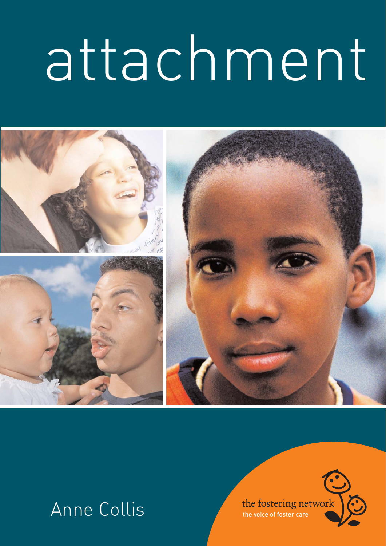# attachment



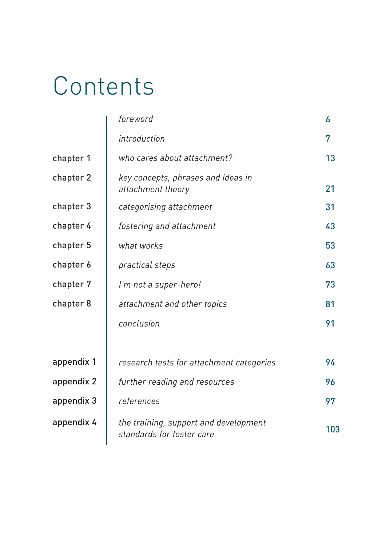## Contents

|            | foreword                                                                  | 6  |
|------------|---------------------------------------------------------------------------|----|
|            | introduction                                                              | 7  |
| chapter 1  | who cares about attachment?                                               | 13 |
| chapter 2  | key concepts, phrases and ideas in<br>attachment theory                   |    |
| chapter 3  | categorising attachment                                                   |    |
| chapter 4  | fostering and attachment                                                  |    |
| chapter 5  | what works                                                                |    |
| chapter 6  | practical steps                                                           | 63 |
| chapter 7  | I'm not a super-hero!                                                     | 73 |
| chapter 8  | attachment and other topics                                               | 81 |
|            | conclusion                                                                | 91 |
|            |                                                                           |    |
| appendix 1 | research tests for attachment categories                                  | 94 |
| appendix 2 | further reading and resources                                             |    |
| appendix 3 | references                                                                |    |
| appendix 4 | the training, support and development<br>103<br>standards for foster care |    |
|            |                                                                           |    |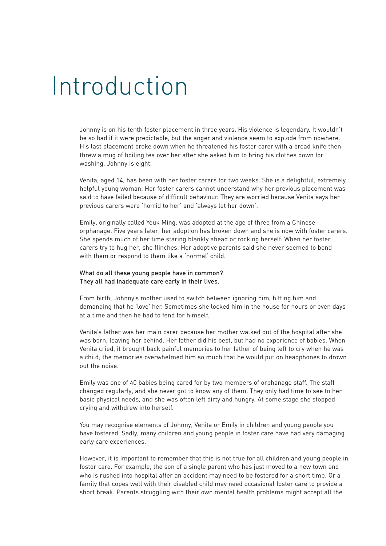## Introduction

Johnny is on his tenth foster placement in three years. His violence is legendary. It wouldn't be so bad if it were predictable, but the anger and violence seem to explode from nowhere. His last placement broke down when he threatened his foster carer with a bread knife then threw a mug of boiling tea over her after she asked him to bring his clothes down for washing. Johnny is eight.

Venita, aged 14, has been with her foster carers for two weeks. She is a delightful, extremely helpful young woman. Her foster carers cannot understand why her previous placement was said to have failed because of difficult behaviour. They are worried because Venita says her previous carers were 'horrid to her' and 'always let her down'.

Emily, originally called Yeuk Ming, was adopted at the age of three from a Chinese orphanage. Five years later, her adoption has broken down and she is now with foster carers. She spends much of her time staring blankly ahead or rocking herself. When her foster carers try to hug her, she flinches. Her adoptive parents said she never seemed to bond with them or respond to them like a 'normal' child.

#### What do all these young people have in common? They all had inadequate care early in their lives.

From birth, Johnny's mother used to switch between ignoring him, hitting him and demanding that he 'love' her. Sometimes she locked him in the house for hours or even days at a time and then he had to fend for himself.

Venita's father was her main carer because her mother walked out of the hospital after she was born, leaving her behind. Her father did his best, but had no experience of babies. When Venita cried, it brought back painful memories to her father of being left to cry when he was a child; the memories overwhelmed him so much that he would put on headphones to drown out the noise.

Emily was one of 40 babies being cared for by two members of orphanage staff. The staff changed regularly, and she never got to know any of them. They only had time to see to her basic physical needs, and she was often left dirty and hungry. At some stage she stopped crying and withdrew into herself.

You may recognise elements of Johnny, Venita or Emily in children and young people you have fostered. Sadly, many children and young people in foster care have had very damaging early care experiences.

However, it is important to remember that this is not true for all children and young people in foster care. For example, the son of a single parent who has just moved to a new town and who is rushed into hospital after an accident may need to be fostered for a short time. Or a family that copes well with their disabled child may need occasional foster care to provide a short break. Parents struggling with their own mental health problems might accept all the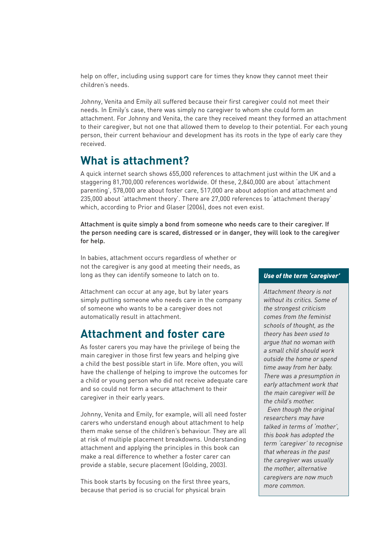help on offer, including using support care for times they know they cannot meet their children's needs.

Johnny, Venita and Emily all suffered because their first caregiver could not meet their needs. In Emily's case, there was simply no caregiver to whom she could form an attachment. For Johnny and Venita, the care they received meant they formed an attachment to their caregiver, but not one that allowed them to develop to their potential. For each young person, their current behaviour and development has its roots in the type of early care they received.

#### **What is attachment?**

A quick internet search shows 655,000 references to attachment just within the UK and a staggering 81,700,000 references worldwide. Of these, 2,840,000 are about 'attachment parenting', 578,000 are about foster care, 517,000 are about adoption and attachment and 235,000 about 'attachment theory'. There are 27,000 references to 'attachment therapy' which, according to Prior and Glaser (2006), does not even exist.

Attachment is quite simply a bond from someone who needs care to their caregiver. If the person needing care is scared, distressed or in danger, they will look to the caregiver for help.

In babies, attachment occurs regardless of whether or not the caregiver is any good at meeting their needs, as long as they can identify someone to latch on to.

Attachment can occur at any age, but by later years simply putting someone who needs care in the company of someone who wants to be a caregiver does not automatically result in attachment.

### **Attachment and foster care**

As foster carers you may have the privilege of being the main caregiver in those first few years and helping give a child the best possible start in life. More often, you will have the challenge of helping to improve the outcomes for a child or young person who did not receive adequate care and so could not form a secure attachment to their caregiver in their early years.

Johnny, Venita and Emily, for example, will all need foster carers who understand enough about attachment to help them make sense of the children's behaviour. They are all at risk of multiple placement breakdowns. Understanding attachment and applying the principles in this book can make a real difference to whether a foster carer can provide a stable, secure placement (Golding, 2003).

This book starts by focusing on the first three years, because that period is so crucial for physical brain

#### *Use of the term 'caregiver'*

*Attachment theory is not without its critics. Some of the strongest criticism comes from the feminist schools of thought, as the theory has been used to argue that no woman with a small child should work outside the home or spend time away from her baby. There was a presumption in early attachment work that the main caregiver will be the child's mother.*

*Even though the original researchers may have talked in terms of 'mother', this book has adopted the term 'caregiver' to recognise that whereas in the past the caregiver was usually the mother, alternative caregivers are now much more common.*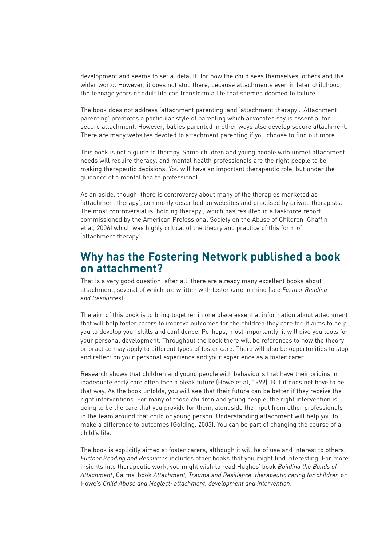development and seems to set a 'default' for how the child sees themselves, others and the wider world. However, it does not stop there, because attachments even in later childhood, the teenage years or adult life can transform a life that seemed doomed to failure.

The book does not address 'attachment parenting' and 'attachment therapy'. 'Attachment parenting' promotes a particular style of parenting which advocates say is essential for secure attachment. However, babies parented in other ways also develop secure attachment. There are many websites devoted to attachment parenting if you choose to find out more.

This book is not a guide to therapy. Some children and young people with unmet attachment needs will require therapy, and mental health professionals are the right people to be making therapeutic decisions. You will have an important therapeutic role, but under the guidance of a mental health professional.

As an aside, though, there is controversy about many of the therapies marketed as 'attachment therapy', commonly described on websites and practised by private therapists. The most controversial is 'holding therapy', which has resulted in a taskforce report commissioned by the American Professional Society on the Abuse of Children (Chaffin et al, 2006) which was highly critical of the theory and practice of this form of 'attachment therapy'.

#### **Why has the Fostering Network published a book on attachment?**

That is a very good question: after all, there are already many excellent books about attachment, several of which are written with foster care in mind (see *Further Reading and Resources*).

The aim of this book is to bring together in one place essential information about attachment that will help foster carers to improve outcomes for the children they care for. It aims to help you to develop your skills and confidence. Perhaps, most importantly, it will give you tools for your personal development. Throughout the book there will be references to how the theory or practice may apply to different types of foster care. There will also be opportunities to stop and reflect on your personal experience and your experience as a foster carer.

Research shows that children and young people with behaviours that have their origins in inadequate early care often face a bleak future (Howe et al, 1999). But it does not have to be that way. As the book unfolds, you will see that their future can be better if they receive the right interventions. For many of those children and young people, the right intervention is going to be the care that you provide for them, alongside the input from other professionals in the team around that child or young person. Understanding attachment will help you to make a difference to outcomes (Golding, 2003). You can be part of changing the course of a child's life.

The book is explicitly aimed at foster carers, although it will be of use and interest to others. *Further Reading and Resources* includes other books that you might find interesting. For more insights into therapeutic work, you might wish to read Hughes' book *Building the Bonds of Attachment*, Cairns' book *Attachment, Trauma and Resilience: therapeutic caring for children* or Howe's *Child Abuse and Neglect: attachment, development and intervention*.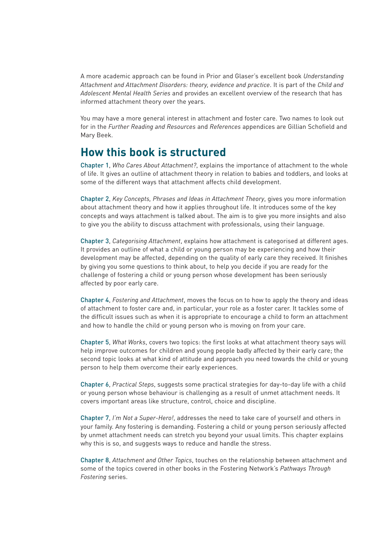A more academic approach can be found in Prior and Glaser's excellent book *Understanding Attachment and Attachment Disorders: theory, evidence and practice*. It is part of the *Child and Adolescent Mental Health Series* and provides an excellent overview of the research that has informed attachment theory over the years.

You may have a more general interest in attachment and foster care. Two names to look out for in the *Further Reading and Resources* and *References* appendices are Gillian Schofield and Mary Beek.

#### **How this book is structured**

Chapter 1, *Who Cares About Attachment?*, explains the importance of attachment to the whole of life. It gives an outline of attachment theory in relation to babies and toddlers, and looks at some of the different ways that attachment affects child development.

Chapter 2, *Key Concepts, Phrases and Ideas in Attachment Theory*, gives you more information about attachment theory and how it applies throughout life. It introduces some of the key concepts and ways attachment is talked about. The aim is to give you more insights and also to give you the ability to discuss attachment with professionals, using their language.

Chapter 3, *Categorising Attachment*, explains how attachment is categorised at different ages. It provides an outline of what a child or young person may be experiencing and how their development may be affected, depending on the quality of early care they received. It finishes by giving you some questions to think about, to help you decide if you are ready for the challenge of fostering a child or young person whose development has been seriously affected by poor early care.

Chapter 4, *Fostering and Attachment*, moves the focus on to how to apply the theory and ideas of attachment to foster care and, in particular, your role as a foster carer. It tackles some of the difficult issues such as when it is appropriate to encourage a child to form an attachment and how to handle the child or young person who is moving on from your care.

Chapter 5, *What Works*, covers two topics: the first looks at what attachment theory says will help improve outcomes for children and young people badly affected by their early care; the second topic looks at what kind of attitude and approach you need towards the child or young person to help them overcome their early experiences.

Chapter 6, *Practical Steps*, suggests some practical strategies for day-to-day life with a child or young person whose behaviour is challenging as a result of unmet attachment needs. It covers important areas like structure, control, choice and discipline.

Chapter 7, *I'm Not a Super-Hero!*, addresses the need to take care of yourself and others in your family. Any fostering is demanding. Fostering a child or young person seriously affected by unmet attachment needs can stretch you beyond your usual limits. This chapter explains why this is so, and suggests ways to reduce and handle the stress.

Chapter 8, *Attachment and Other Topics*, touches on the relationship between attachment and some of the topics covered in other books in the Fostering Network's *Pathways Through Fostering* series.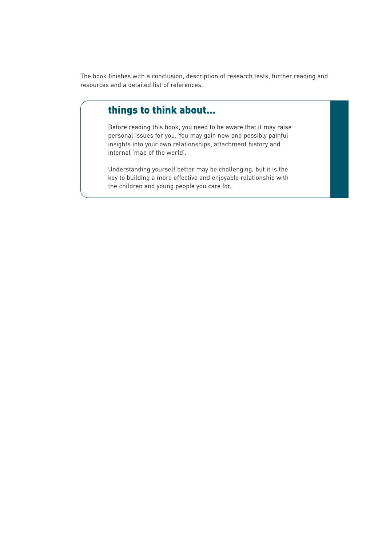The book finishes with a conclusion, description of research tests, further reading and resources and a detailed list of references.

#### things to think about...

Before reading this book, you need to be aware that it may raise personal issues for you. You may gain new and possibly painful insights into your own relationships, attachment history and internal 'map of the world'.

Understanding yourself better may be challenging, but it is the key to building a more effective and enjoyable relationship with the children and young people you care for.